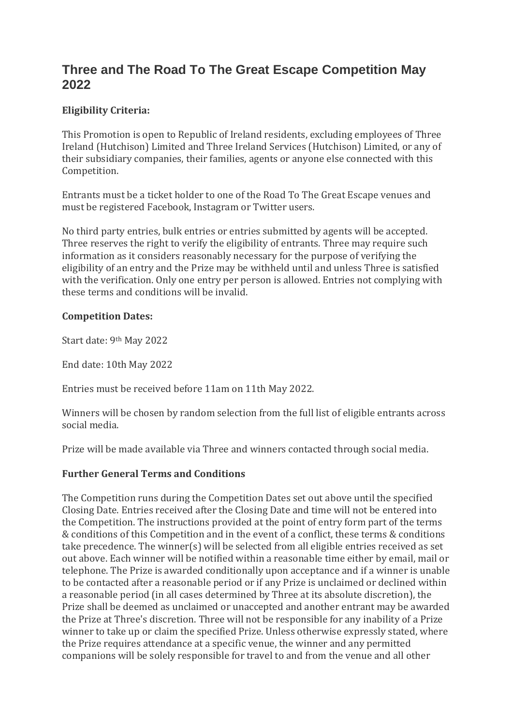# **Three and The Road To The Great Escape Competition May 2022**

## **Eligibility Criteria:**

This Promotion is open to Republic of Ireland residents, excluding employees of Three Ireland (Hutchison) Limited and Three Ireland Services (Hutchison) Limited, or any of their subsidiary companies, their families, agents or anyone else connected with this Competition.

Entrants must be a ticket holder to one of the Road To The Great Escape venues and must be registered Facebook, Instagram or Twitter users.

No third party entries, bulk entries or entries submitted by agents will be accepted. Three reserves the right to verify the eligibility of entrants. Three may require such information as it considers reasonably necessary for the purpose of verifying the eligibility of an entry and the Prize may be withheld until and unless Three is satisfied with the verification. Only one entry per person is allowed. Entries not complying with these terms and conditions will be invalid.

### **Competition Dates:**

Start date: 9th May 2022

End date: 10th May 2022

Entries must be received before 11am on 11th May 2022.

Winners will be chosen by random selection from the full list of eligible entrants across social media.

Prize will be made available via Three and winners contacted through social media.

### **Further General Terms and Conditions**

The Competition runs during the Competition Dates set out above until the specified Closing Date. Entries received after the Closing Date and time will not be entered into the Competition. The instructions provided at the point of entry form part of the terms & conditions of this Competition and in the event of a conflict, these terms & conditions take precedence. The winner(s) will be selected from all eligible entries received as set out above. Each winner will be notified within a reasonable time either by email, mail or telephone. The Prize is awarded conditionally upon acceptance and if a winner is unable to be contacted after a reasonable period or if any Prize is unclaimed or declined within a reasonable period (in all cases determined by Three at its absolute discretion), the Prize shall be deemed as unclaimed or unaccepted and another entrant may be awarded the Prize at Three's discretion. Three will not be responsible for any inability of a Prize winner to take up or claim the specified Prize. Unless otherwise expressly stated, where the Prize requires attendance at a specific venue, the winner and any permitted companions will be solely responsible for travel to and from the venue and all other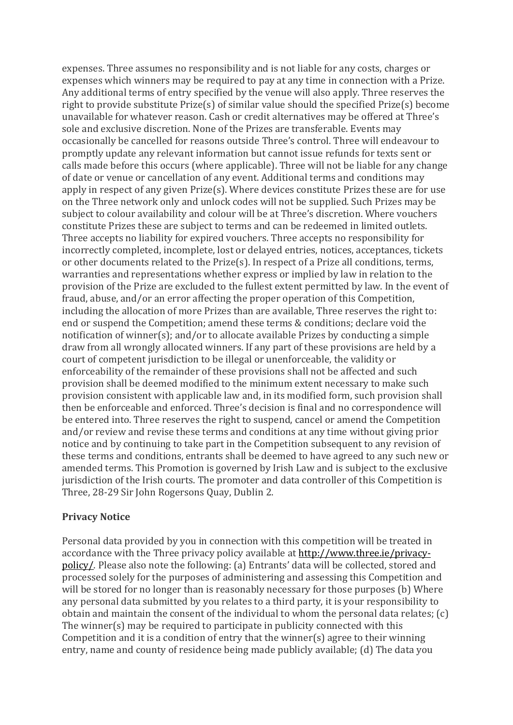expenses. Three assumes no responsibility and is not liable for any costs, charges or expenses which winners may be required to pay at any time in connection with a Prize. Any additional terms of entry specified by the venue will also apply. Three reserves the right to provide substitute Prize(s) of similar value should the specified Prize(s) become unavailable for whatever reason. Cash or credit alternatives may be offered at Three's sole and exclusive discretion. None of the Prizes are transferable. Events may occasionally be cancelled for reasons outside Three's control. Three will endeavour to promptly update any relevant information but cannot issue refunds for texts sent or calls made before this occurs (where applicable). Three will not be liable for any change of date or venue or cancellation of any event. Additional terms and conditions may apply in respect of any given Prize(s). Where devices constitute Prizes these are for use on the Three network only and unlock codes will not be supplied. Such Prizes may be subject to colour availability and colour will be at Three's discretion. Where vouchers constitute Prizes these are subject to terms and can be redeemed in limited outlets. Three accepts no liability for expired vouchers. Three accepts no responsibility for incorrectly completed, incomplete, lost or delayed entries, notices, acceptances, tickets or other documents related to the Prize(s). In respect of a Prize all conditions, terms, warranties and representations whether express or implied by law in relation to the provision of the Prize are excluded to the fullest extent permitted by law. In the event of fraud, abuse, and/or an error affecting the proper operation of this Competition, including the allocation of more Prizes than are available, Three reserves the right to: end or suspend the Competition; amend these terms & conditions; declare void the notification of winner(s); and/or to allocate available Prizes by conducting a simple draw from all wrongly allocated winners. If any part of these provisions are held by a court of competent jurisdiction to be illegal or unenforceable, the validity or enforceability of the remainder of these provisions shall not be affected and such provision shall be deemed modified to the minimum extent necessary to make such provision consistent with applicable law and, in its modified form, such provision shall then be enforceable and enforced. Three's decision is final and no correspondence will be entered into. Three reserves the right to suspend, cancel or amend the Competition and/or review and revise these terms and conditions at any time without giving prior notice and by continuing to take part in the Competition subsequent to any revision of these terms and conditions, entrants shall be deemed to have agreed to any such new or amended terms. This Promotion is governed by Irish Law and is subject to the exclusive jurisdiction of the Irish courts. The promoter and data controller of this Competition is Three, 28-29 Sir John Rogersons Quay, Dublin 2.

### **Privacy Notice**

Personal data provided by you in connection with this competition will be treated in accordance with the Three privacy policy available at [http://www.three.ie/privacy](http://www.three.ie/privacy-policy/)[policy/](http://www.three.ie/privacy-policy/). Please also note the following: (a) Entrants' data will be collected, stored and processed solely for the purposes of administering and assessing this Competition and will be stored for no longer than is reasonably necessary for those purposes (b) Where any personal data submitted by you relates to a third party, it is your responsibility to obtain and maintain the consent of the individual to whom the personal data relates; (c) The winner(s) may be required to participate in publicity connected with this Competition and it is a condition of entry that the winner(s) agree to their winning entry, name and county of residence being made publicly available; (d) The data you